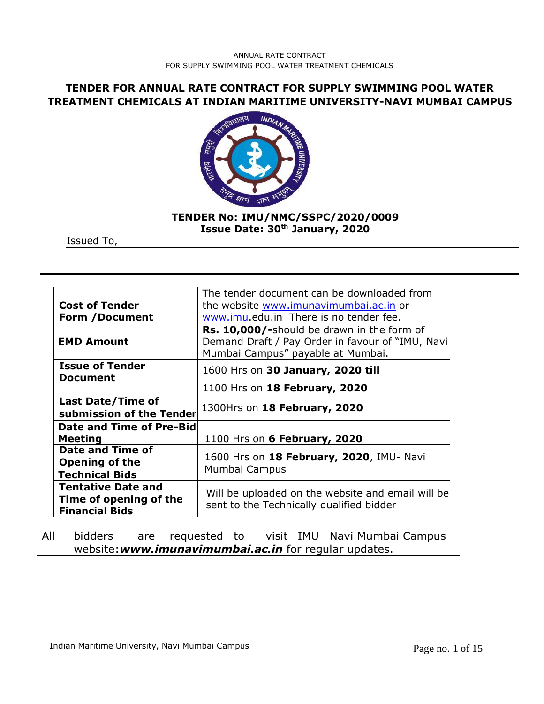# **TENDER FOR ANNUAL RATE CONTRACT FOR SUPPLY SWIMMING POOL WATER TREATMENT CHEMICALS AT INDIAN MARITIME UNIVERSITY-NAVI MUMBAI CAMPUS**



## **TENDER No: IMU/NMC/SSPC/2020/0009 Issue Date: 30th January, 2020**

Issued To,

|                                    | The tender document can be downloaded from                                                                                          |  |  |  |  |
|------------------------------------|-------------------------------------------------------------------------------------------------------------------------------------|--|--|--|--|
| <b>Cost of Tender</b>              | the website www.imunavimumbai.ac.in or                                                                                              |  |  |  |  |
| <b>Form /Document</b>              | www.imu.edu.in There is no tender fee.                                                                                              |  |  |  |  |
|                                    |                                                                                                                                     |  |  |  |  |
| <b>EMD Amount</b>                  | Rs. 10,000/-should be drawn in the form of<br>Demand Draft / Pay Order in favour of "IMU, Navi<br>Mumbai Campus" payable at Mumbai. |  |  |  |  |
| <b>Issue of Tender</b><br>Document | 1600 Hrs on 30 January, 2020 till                                                                                                   |  |  |  |  |
|                                    | 1100 Hrs on 18 February, 2020                                                                                                       |  |  |  |  |
| <b>Last Date/Time of</b>           |                                                                                                                                     |  |  |  |  |
| submission of the Tender           | 1300Hrs on 18 February, 2020                                                                                                        |  |  |  |  |
| <b>Date and Time of Pre-Bid</b>    |                                                                                                                                     |  |  |  |  |
| Meeting                            | 1100 Hrs on 6 February, 2020                                                                                                        |  |  |  |  |
| Date and Time of                   |                                                                                                                                     |  |  |  |  |
| <b>Opening of the</b>              | 1600 Hrs on 18 February, 2020, IMU- Navi                                                                                            |  |  |  |  |
| <b>Technical Bids</b>              | Mumbai Campus                                                                                                                       |  |  |  |  |
| <b>Tentative Date and</b>          |                                                                                                                                     |  |  |  |  |
| Time of opening of the             | Will be uploaded on the website and email will be                                                                                   |  |  |  |  |
| <b>Financial Bids</b>              | sent to the Technically qualified bidder                                                                                            |  |  |  |  |

All bidders are requested to visit IMU Navi Mumbai Campus website:*www.imunavimumbai.ac.in* for regular updates.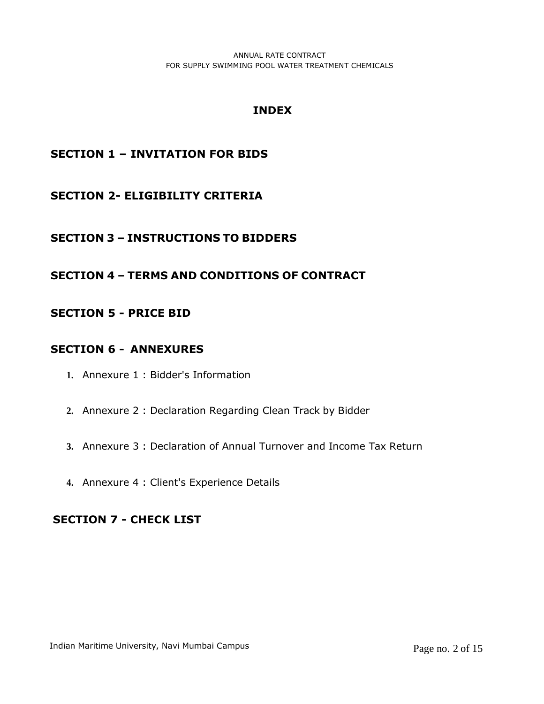# **INDEX**

# **SECTION 1 – INVITATION FOR BIDS**

# **SECTION 2- ELIGIBILITY CRITERIA**

# **SECTION 3 – INSTRUCTIONS TO BIDDERS**

# **SECTION 4 – TERMS AND CONDITIONS OF CONTRACT**

## **SECTION 5 - PRICE BID**

## **SECTION 6 - ANNEXURES**

- **1.** Annexure 1 : Bidder's Information
- **2.** Annexure 2 : Declaration Regarding Clean Track by Bidder
- **3.** Annexure 3 : Declaration of Annual Turnover and Income Tax Return
- **4.** Annexure 4 : Client's Experience Details

# **SECTION 7 - CHECK LIST**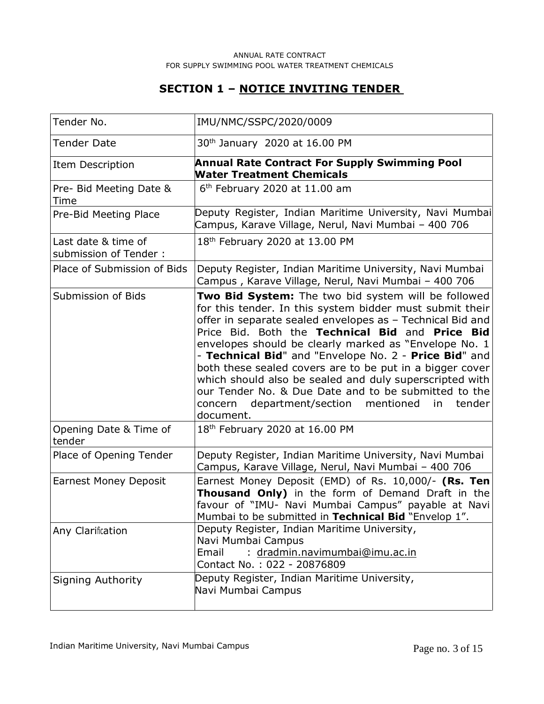# **SECTION 1 – NOTICE INVITING TENDER**

| Tender No.                                   | IMU/NMC/SSPC/2020/0009                                                                                                                                                                                                                                                                                                                                                                                                                                                                                                                                                                                   |
|----------------------------------------------|----------------------------------------------------------------------------------------------------------------------------------------------------------------------------------------------------------------------------------------------------------------------------------------------------------------------------------------------------------------------------------------------------------------------------------------------------------------------------------------------------------------------------------------------------------------------------------------------------------|
| Tender Date                                  | 30 <sup>th</sup> January 2020 at 16.00 PM                                                                                                                                                                                                                                                                                                                                                                                                                                                                                                                                                                |
| Item Description                             | <b>Annual Rate Contract For Supply Swimming Pool</b><br><b>Water Treatment Chemicals</b>                                                                                                                                                                                                                                                                                                                                                                                                                                                                                                                 |
| Pre- Bid Meeting Date &<br>Time              | 6 <sup>th</sup> February 2020 at 11.00 am                                                                                                                                                                                                                                                                                                                                                                                                                                                                                                                                                                |
| Pre-Bid Meeting Place                        | Deputy Register, Indian Maritime University, Navi Mumbai<br>Campus, Karave Village, Nerul, Navi Mumbai - 400 706                                                                                                                                                                                                                                                                                                                                                                                                                                                                                         |
| Last date & time of<br>submission of Tender: | 18 <sup>th</sup> February 2020 at 13.00 PM                                                                                                                                                                                                                                                                                                                                                                                                                                                                                                                                                               |
| Place of Submission of Bids                  | Deputy Register, Indian Maritime University, Navi Mumbai<br>Campus, Karave Village, Nerul, Navi Mumbai - 400 706                                                                                                                                                                                                                                                                                                                                                                                                                                                                                         |
| Submission of Bids                           | Two Bid System: The two bid system will be followed<br>for this tender. In this system bidder must submit their<br>offer in separate sealed envelopes as - Technical Bid and<br>Price Bid. Both the Technical Bid and Price Bid<br>envelopes should be clearly marked as "Envelope No. 1<br>- Technical Bid" and "Envelope No. 2 - Price Bid" and<br>both these sealed covers are to be put in a bigger cover<br>which should also be sealed and duly superscripted with<br>our Tender No. & Due Date and to be submitted to the<br>department/section mentioned<br>tender<br>concern<br>in<br>document. |
| Opening Date & Time of<br>tender             | 18 <sup>th</sup> February 2020 at 16.00 PM                                                                                                                                                                                                                                                                                                                                                                                                                                                                                                                                                               |
| Place of Opening Tender                      | Deputy Register, Indian Maritime University, Navi Mumbai<br>Campus, Karave Village, Nerul, Navi Mumbai - 400 706                                                                                                                                                                                                                                                                                                                                                                                                                                                                                         |
| <b>Earnest Money Deposit</b>                 | Earnest Money Deposit (EMD) of Rs. 10,000/- (Rs. Ten<br>Thousand Only) in the form of Demand Draft in the<br>favour of "IMU- Navi Mumbai Campus" payable at Navi<br>Mumbai to be submitted in Technical Bid "Envelop 1".                                                                                                                                                                                                                                                                                                                                                                                 |
| Any Clarification                            | Deputy Register, Indian Maritime University,<br>Navi Mumbai Campus<br>: dradmin.navimumbai@imu.ac.in<br>Email<br>Contact No.: 022 - 20876809                                                                                                                                                                                                                                                                                                                                                                                                                                                             |
| <b>Signing Authority</b>                     | Deputy Register, Indian Maritime University,<br>Navi Mumbai Campus                                                                                                                                                                                                                                                                                                                                                                                                                                                                                                                                       |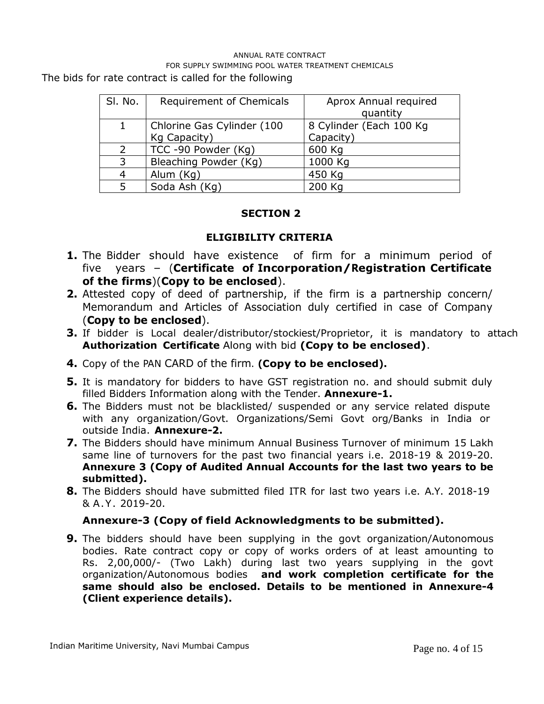The bids for rate contract is called for the following

| SI. No.                    | Requirement of Chemicals | Aprox Annual required    |  |
|----------------------------|--------------------------|--------------------------|--|
|                            |                          | quantity                 |  |
| Chlorine Gas Cylinder (100 |                          | 8 Cylinder (Each 100 Kg) |  |
|                            | Kg Capacity)             | Capacity)                |  |
| $\mathcal{L}$              | TCC -90 Powder (Kg)      | 600 Kg                   |  |
| 3                          | Bleaching Powder (Kg)    | 1000 Kg                  |  |
| 4                          | Alum (Kg)                | 450 Kg                   |  |
|                            | Soda Ash (Kg)            | 200 Kg                   |  |

## **SECTION 2**

## **ELIGIBILITY CRITERIA**

- **1.** The Bidder should have existence of firm for a minimum period of five years – (**Certificate of Incorporation/Registration Certificate of the firms**)(**Copy to be enclosed**).
- **2.** Attested copy of deed of partnership, if the firm is a partnership concern/ Memorandum and Articles of Association duly certified in case of Company (**Copy to be enclosed**).
- **3.** If bidder is Local dealer/distributor/stockiest/Proprietor, it is mandatory to attach **Authorization Certificate** Along with bid **(Copy to be enclosed)**.
- **4.** Copy of the PAN CARD of the firm. **(Copy to be enclosed).**
- **5.** It is mandatory for bidders to have GST registration no. and should submit duly filled Bidders Information along with the Tender. **Annexure-1.**
- **6.** The Bidders must not be blacklisted/ suspended or any service related dispute with any organization/Govt. Organizations/Semi Govt org/Banks in India or outside India. **Annexure-2.**
- **7.** The Bidders should have minimum Annual Business Turnover of minimum 15 Lakh same line of turnovers for the past two financial years i.e. 2018-19 & 2019-20. **Annexure 3 (Copy of Audited Annual Accounts for the last two years to be submitted).**
- **8.** The Bidders should have submitted filed ITR for last two years i.e. A.Y. 2018-19 & A .Y. 2019-20.

## **Annexure-3 (Copy of field Acknowledgments to be submitted).**

**9.** The bidders should have been supplying in the govt organization/Autonomous bodies. Rate contract copy or copy of works orders of at least amounting to Rs. 2,00,000/- (Two Lakh) during last two years supplying in the govt organization/Autonomous bodies **and work completion certificate for the same should also be enclosed. Details to be mentioned in Annexure-4 (Client experience details).**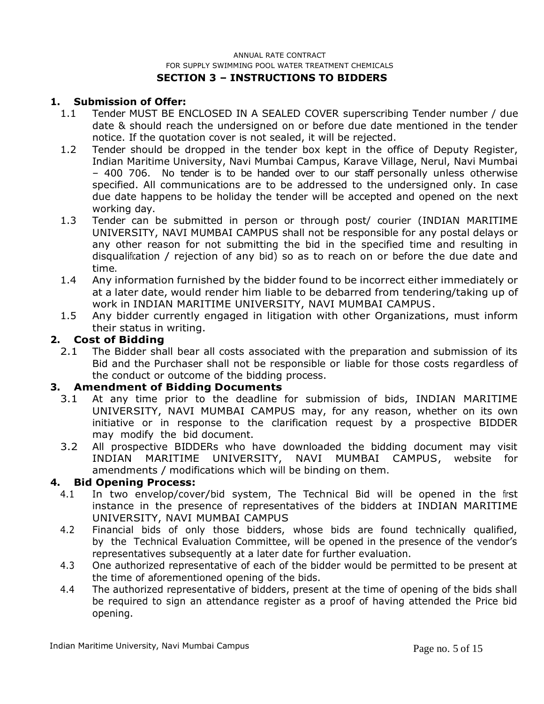#### ANNUAL RATE CONTRACT FOR SUPPLY SWIMMING POOL WATER TREATMENT CHEMICALS **SECTION 3 – INSTRUCTIONS TO BIDDERS**

#### **1. Submission of Offer:**

- 1.1 Tender MUST BE ENCLOSED IN A SEALED COVER superscribing Tender number / due date & should reach the undersigned on or before due date mentioned in the tender notice. If the quotation cover is not sealed, it will be rejected.
- 1.2 Tender should be dropped in the tender box kept in the office of Deputy Register, Indian Maritime University, Navi Mumbai Campus, Karave Village, Nerul, Navi Mumbai – 400 706. No tender is to be handed over to our staff personally unless otherwise specified. All communications are to be addressed to the undersigned only. In case due date happens to be holiday the tender will be accepted and opened on the next working day.
- 1.3 Tender can be submitted in person or through post/ courier (INDIAN MARITIME UNIVERSITY, NAVI MUMBAI CAMPUS shall not be responsible for any postal delays or any other reason for not submitting the bid in the specified time and resulting in disqualification / rejection of any bid) so as to reach on or before the due date and time.
- 1.4 Any information furnished by the bidder found to be incorrect either immediately or at a later date, would render him liable to be debarred from tendering/taking up of work in INDIAN MARITIME UNIVERSITY, NAVI MUMBAI CAMPUS.
- 1.5 Any bidder currently engaged in litigation with other Organizations, must inform their status in writing.

#### **2. Cost of Bidding**

2.1 The Bidder shall bear all costs associated with the preparation and submission of its Bid and the Purchaser shall not be responsible or liable for those costs regardless of the conduct or outcome of the bidding process.

#### **3. Amendment of Bidding Documents**

- 3.1 At any time prior to the deadline for submission of bids, INDIAN MARITIME UNIVERSITY, NAVI MUMBAI CAMPUS may, for any reason, whether on its own initiative or in response to the clarification request by a prospective BIDDER may modify the bid document.
- 3.2 All prospective BIDDERs who have downloaded the bidding document may visit INDIAN MARITIME UNIVERSITY, NAVI MUMBAI CAMPUS, website for amendments / modifications which will be binding on them.

#### **4. Bid Opening Process:**

- 4.1 In two envelop/cover/bid system, The Technical Bid will be opened in the first instance in the presence of representatives of the bidders at INDIAN MARITIME UNIVERSITY, NAVI MUMBAI CAMPUS
- 4.2 Financial bids of only those bidders, whose bids are found technically qualified, by the Technical Evaluation Committee, will be opened in the presence of the vendor's representatives subsequently at a later date for further evaluation.
- 4.3 One authorized representative of each of the bidder would be permitted to be present at the time of aforementioned opening of the bids.
- 4.4 The authorized representative of bidders, present at the time of opening of the bids shall be required to sign an attendance register as a proof of having attended the Price bid opening.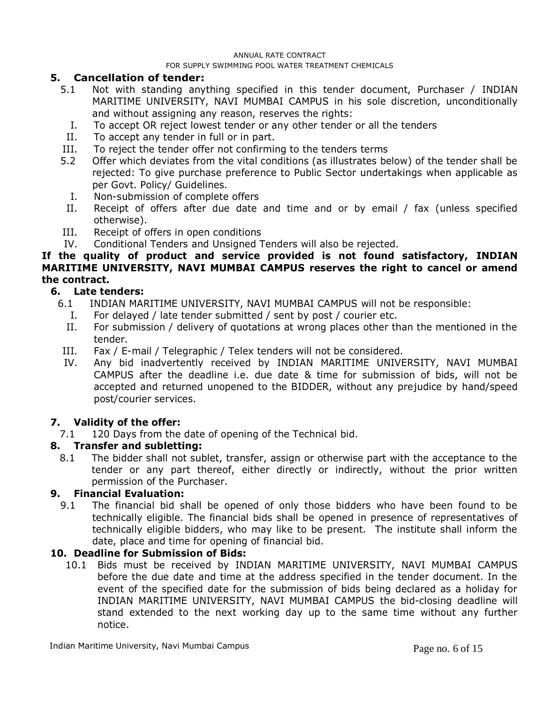#### **5. Cancellation of tender:**

- 5.1 Not with standing anything specified in this tender document, Purchaser / INDIAN MARITIME UNIVERSITY, NAVI MUMBAI CAMPUS in his sole discretion, unconditionally and without assigning any reason, reserves the rights:
	- I. To accept OR reject lowest tender or any other tender or all the tenders
- II. To accept any tender in full or in part.
- III. To reject the tender offer not confirming to the tenders terms
- 5.2 Offer which deviates from the vital conditions (as illustrates below) of the tender shall be rejected: To give purchase preference to Public Sector undertakings when applicable as per Govt. Policy/ Guidelines.
	- I. Non-submission of complete offers
- II. Receipt of offers after due date and time and or by email / fax (unless specified otherwise).
- III. Receipt of offers in open conditions
- IV. Conditional Tenders and Unsigned Tenders will also be rejected.

#### **If the quality of product and service provided is not found satisfactory, INDIAN MARITIME UNIVERSITY, NAVI MUMBAI CAMPUS reserves the right to cancel or amend the contract.**

#### **6. Late tenders:**

- 6.1 INDIAN MARITIME UNIVERSITY, NAVI MUMBAI CAMPUS will not be responsible:
	- I. For delayed / late tender submitted / sent by post / courier etc.
	- II. For submission / delivery of quotations at wrong places other than the mentioned in the tender.
- III. Fax / E-mail / Telegraphic / Telex tenders will not be considered.
- IV. Any bid inadvertently received by INDIAN MARITIME UNIVERSITY, NAVI MUMBAI CAMPUS after the deadline i.e. due date & time for submission of bids, will not be accepted and returned unopened to the BIDDER, without any prejudice by hand/speed post/courier services.

#### **7. Validity of the offer:**

7.1 120 Days from the date of opening of the Technical bid.

#### **8. Transfer and subletting:**

8.1 The bidder shall not sublet, transfer, assign or otherwise part with the acceptance to the tender or any part thereof, either directly or indirectly, without the prior written permission of the Purchaser.

#### **9. Financial Evaluation:**

9.1 The financial bid shall be opened of only those bidders who have been found to be technically eligible. The financial bids shall be opened in presence of representatives of technically eligible bidders, who may like to be present. The institute shall inform the date, place and time for opening of financial bid.

#### **10. Deadline for Submission of Bids:**

10.1 Bids must be received by INDIAN MARITIME UNIVERSITY, NAVI MUMBAI CAMPUS before the due date and time at the address specified in the tender document. In the event of the specified date for the submission of bids being declared as a holiday for INDIAN MARITIME UNIVERSITY, NAVI MUMBAI CAMPUS the bid-closing deadline will stand extended to the next working day up to the same time without any further notice.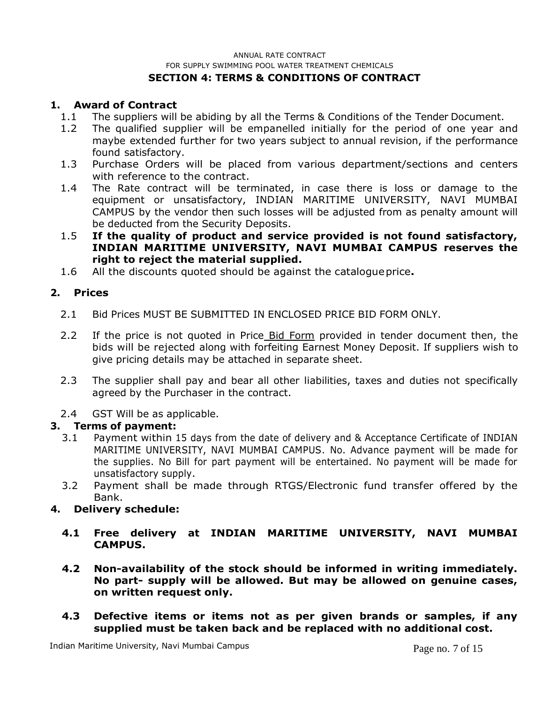#### ANNUAL RATE CONTRACT FOR SUPPLY SWIMMING POOL WATER TREATMENT CHEMICALS **SECTION 4: TERMS & CONDITIONS OF CONTRACT**

## **1. Award of Contract**

- 1.1 The suppliers will be abiding by all the Terms & Conditions of the Tender Document.
- 1.2 The qualified supplier will be empanelled initially for the period of one year and maybe extended further for two years subject to annual revision, if the performance found satisfactory.
- 1.3 Purchase Orders will be placed from various department/sections and centers with reference to the contract.
- 1.4 The Rate contract will be terminated, in case there is loss or damage to the equipment or unsatisfactory, INDIAN MARITIME UNIVERSITY, NAVI MUMBAI CAMPUS by the vendor then such losses will be adjusted from as penalty amount will be deducted from the Security Deposits.
- 1.5 **If the quality of product and service provided is not found satisfactory, INDIAN MARITIME UNIVERSITY, NAVI MUMBAI CAMPUS reserves the right to reject the material supplied.**
- 1.6 All the discounts quoted should be against the catalogue price**.**

#### **2. Prices**

- 2.1 Bid Prices MUST BE SUBMITTED IN ENCLOSED PRICE BID FORM ONLY.
- 2.2 If the price is not quoted in Price Bid Form provided in tender document then, the bids will be rejected along with forfeiting Earnest Money Deposit. If suppliers wish to give pricing details may be attached in separate sheet.
- 2.3 The supplier shall pay and bear all other liabilities, taxes and duties not specifically agreed by the Purchaser in the contract.
- 2.4 GST Will be as applicable.

## **3. Terms of payment:**

- 3.1 Payment within 15 days from the date of delivery and & Acceptance Certificate of INDIAN MARITIME UNIVERSITY, NAVI MUMBAI CAMPUS. No. Advance payment will be made for the supplies. No Bill for part payment will be entertained. No payment will be made for unsatisfactory supply.
- 3.2 Payment shall be made through RTGS/Electronic fund transfer offered by the Bank.

#### **4. Delivery schedule:**

- **4.1 Free delivery at INDIAN MARITIME UNIVERSITY, NAVI MUMBAI CAMPUS.**
- **4.2 Non-availability of the stock should be informed in writing immediately. No part- supply will be allowed. But may be allowed on genuine cases, on written request only.**
- **4.3 Defective items or items not as per given brands or samples, if any supplied must be taken back and be replaced with no additional cost.**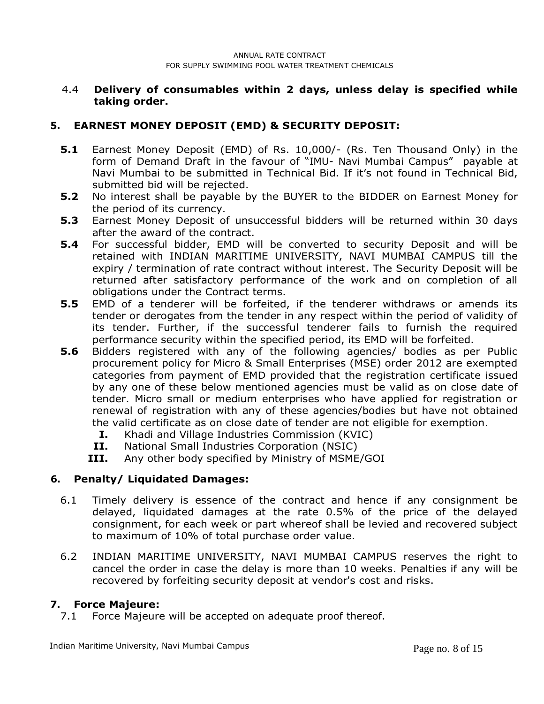#### 4.4 **Delivery of consumables within 2 days, unless delay is specified while taking order.**

# **5. EARNEST MONEY DEPOSIT (EMD) & SECURITY DEPOSIT:**

- **5.1** Earnest Money Deposit (EMD) of Rs. 10,000/- (Rs. Ten Thousand Only) in the form of Demand Draft in the favour of "IMU- Navi Mumbai Campus" payable at Navi Mumbai to be submitted in Technical Bid. If it's not found in Technical Bid, submitted bid will be rejected.
- **5.2** No interest shall be payable by the BUYER to the BIDDER on Earnest Money for the period of its currency.
- **5.3** Earnest Money Deposit of unsuccessful bidders will be returned within 30 days after the award of the contract.
- **5.4** For successful bidder, EMD will be converted to security Deposit and will be retained with INDIAN MARITIME UNIVERSITY, NAVI MUMBAI CAMPUS till the expiry / termination of rate contract without interest. The Security Deposit will be returned after satisfactory performance of the work and on completion of all obligations under the Contract terms.
- **5.5** EMD of a tenderer will be forfeited, if the tenderer withdraws or amends its tender or derogates from the tender in any respect within the period of validity of its tender. Further, if the successful tenderer fails to furnish the required performance security within the specified period, its EMD will be forfeited.
- **5.6** Bidders registered with any of the following agencies/ bodies as per Public procurement policy for Micro & Small Enterprises (MSE) order 2012 are exempted categories from payment of EMD provided that the registration certificate issued by any one of these below mentioned agencies must be valid as on close date of tender. Micro small or medium enterprises who have applied for registration or renewal of registration with any of these agencies/bodies but have not obtained the valid certificate as on close date of tender are not eligible for exemption.
	- **I.** Khadi and Village Industries Commission (KVIC)
	- **II.** National Small Industries Corporation (NSIC)
	- **III.** Any other body specified by Ministry of MSME/GOI

## **6. Penalty/ Liquidated Damages:**

- 6.1 Timely delivery is essence of the contract and hence if any consignment be delayed, liquidated damages at the rate 0.5% of the price of the delayed consignment, for each week or part whereof shall be levied and recovered subject to maximum of 10% of total purchase order value.
- 6.2 INDIAN MARITIME UNIVERSITY, NAVI MUMBAI CAMPUS reserves the right to cancel the order in case the delay is more than 10 weeks. Penalties if any will be recovered by forfeiting security deposit at vendor's cost and risks.

## **7. Force Majeure:**

7.1 Force Majeure will be accepted on adequate proof thereof.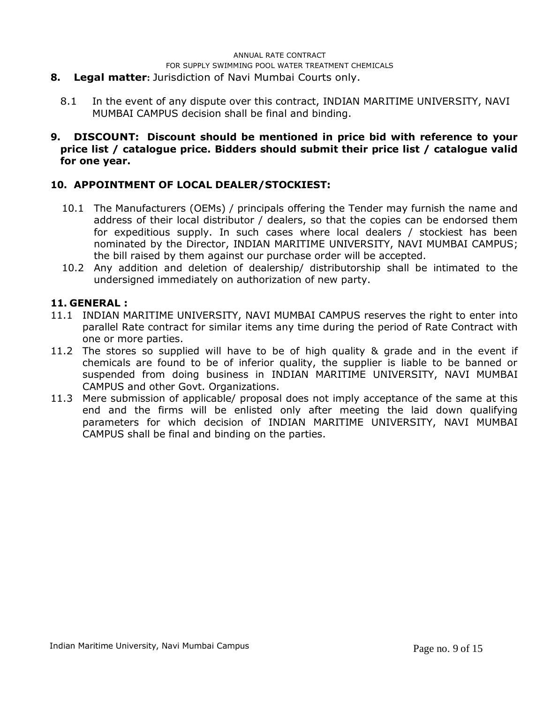#### **8. Legal matter:** Jurisdiction of Navi Mumbai Courts only.

8.1 In the event of any dispute over this contract, INDIAN MARITIME UNIVERSITY, NAVI MUMBAI CAMPUS decision shall be final and binding.

#### **9. DISCOUNT: Discount should be mentioned in price bid with reference to your price list / catalogue price. Bidders should submit their price list / catalogue valid for one year.**

## **10. APPOINTMENT OF LOCAL DEALER/STOCKIEST:**

- 10.1 The Manufacturers (OEMs) / principals offering the Tender may furnish the name and address of their local distributor / dealers, so that the copies can be endorsed them for expeditious supply. In such cases where local dealers / stockiest has been nominated by the Director, INDIAN MARITIME UNIVERSITY, NAVI MUMBAI CAMPUS; the bill raised by them against our purchase order will be accepted.
- 10.2 Any addition and deletion of dealership/ distributorship shall be intimated to the undersigned immediately on authorization of new party.

#### **11. GENERAL :**

- 11.1 INDIAN MARITIME UNIVERSITY, NAVI MUMBAI CAMPUS reserves the right to enter into parallel Rate contract for similar items any time during the period of Rate Contract with one or more parties.
- 11.2 The stores so supplied will have to be of high quality & grade and in the event if chemicals are found to be of inferior quality, the supplier is liable to be banned or suspended from doing business in INDIAN MARITIME UNIVERSITY, NAVI MUMBAI CAMPUS and other Govt. Organizations.
- 11.3 Mere submission of applicable/ proposal does not imply acceptance of the same at this end and the firms will be enlisted only after meeting the laid down qualifying parameters for which decision of INDIAN MARITIME UNIVERSITY, NAVI MUMBAI CAMPUS shall be final and binding on the parties.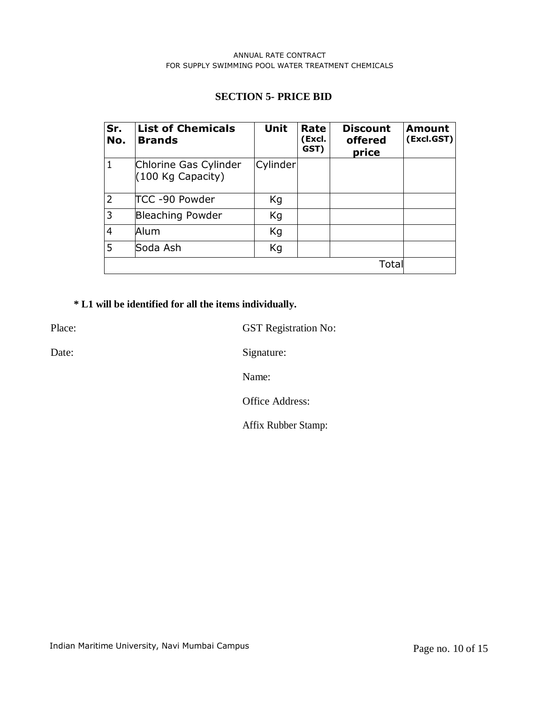#### **SECTION 5- PRICE BID**

| Sr.<br>No.     | <b>List of Chemicals</b><br><b>Brands</b>    | <b>Unit</b> | Rate<br>(Excl.<br>GST) | <b>Discount</b><br>offered<br>price | Amount<br>(Excl.GST) |
|----------------|----------------------------------------------|-------------|------------------------|-------------------------------------|----------------------|
| $\mathbf{1}$   | Chlorine Gas Cylinder<br>$(100$ Kg Capacity) | Cylinder    |                        |                                     |                      |
| $\overline{2}$ | TCC -90 Powder                               | Kg          |                        |                                     |                      |
| 3              | <b>Bleaching Powder</b>                      | Кg          |                        |                                     |                      |
| $\overline{4}$ | Alum                                         | Kg          |                        |                                     |                      |
| 5              | Soda Ash                                     | Кg          |                        |                                     |                      |
|                |                                              |             |                        | Total                               |                      |

# **\* L1 will be identified for all the items individually.**

Place: GST Registration No:

Date: Signature:

Name:

Office Address:

Affix Rubber Stamp: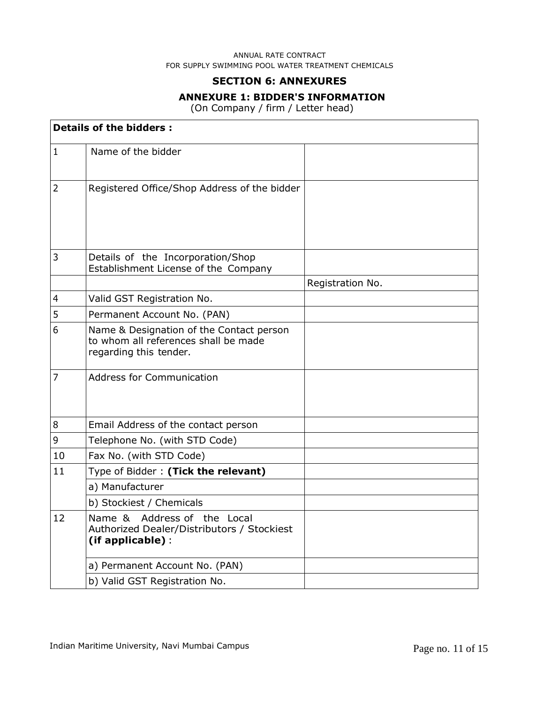#### **SECTION 6: ANNEXURES**

#### **ANNEXURE 1: BIDDER'S INFORMATION**

(On Company / firm / Letter head)

|                | <b>Details of the bidders:</b>                                                                             |                  |  |  |  |
|----------------|------------------------------------------------------------------------------------------------------------|------------------|--|--|--|
| $\mathbf{1}$   | Name of the bidder                                                                                         |                  |  |  |  |
| $\overline{2}$ | Registered Office/Shop Address of the bidder                                                               |                  |  |  |  |
| 3              | Details of the Incorporation/Shop<br>Establishment License of the Company                                  |                  |  |  |  |
|                |                                                                                                            | Registration No. |  |  |  |
| $\overline{4}$ | Valid GST Registration No.                                                                                 |                  |  |  |  |
| 5              | Permanent Account No. (PAN)                                                                                |                  |  |  |  |
| 6              | Name & Designation of the Contact person<br>to whom all references shall be made<br>regarding this tender. |                  |  |  |  |
| $\overline{7}$ | <b>Address for Communication</b>                                                                           |                  |  |  |  |
| 8              | Email Address of the contact person                                                                        |                  |  |  |  |
| $\mathsf 9$    | Telephone No. (with STD Code)                                                                              |                  |  |  |  |
| 10             | Fax No. (with STD Code)                                                                                    |                  |  |  |  |
| 11             | Type of Bidder: (Tick the relevant)                                                                        |                  |  |  |  |
|                | a) Manufacturer                                                                                            |                  |  |  |  |
|                | b) Stockiest / Chemicals                                                                                   |                  |  |  |  |
| 12             | Name & Address of the Local<br>Authorized Dealer/Distributors / Stockiest<br>(if applicable):              |                  |  |  |  |
|                | a) Permanent Account No. (PAN)                                                                             |                  |  |  |  |
|                | b) Valid GST Registration No.                                                                              |                  |  |  |  |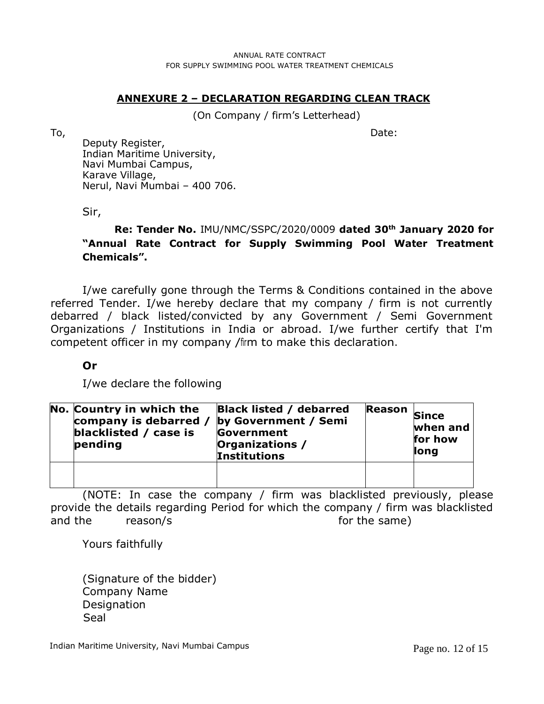# **ANNEXURE 2 – DECLARATION REGARDING CLEAN TRACK**

(On Company / firm's Letterhead)

To, Date: Deputy Register, Indian Maritime University, Navi Mumbai Campus, Karave Village, Nerul, Navi Mumbai – 400 706.

Sir,

**Re: Tender No.** IMU/NMC/SSPC/2020/0009 **dated 30th January 2020 for "Annual Rate Contract for Supply Swimming Pool Water Treatment Chemicals".**

I/we carefully gone through the Terms & Conditions contained in the above referred Tender. I/we hereby declare that my company / firm is not currently debarred / black listed/convicted by any Government / Semi Government Organizations / Institutions in India or abroad. I/we further certify that I'm competent officer in my company /firm to make this declaration.

# **Or**

I/we declare the following

| No. Country in which the<br>company is debarred /<br>blacklisted / case is<br>pending | <b>Black listed / debarred</b><br>by Government / Semi<br>Government<br>Organizations /<br><b>Institutions</b> | Reason Since | when and<br>for how<br>long |
|---------------------------------------------------------------------------------------|----------------------------------------------------------------------------------------------------------------|--------------|-----------------------------|
|                                                                                       |                                                                                                                |              |                             |

(NOTE: In case the company / firm was blacklisted previously, please provide the details regarding Period for which the company / firm was blacklisted and the reason/s and the same)

Yours faithfully

(Signature of the bidder) Company Name **Designation** Seal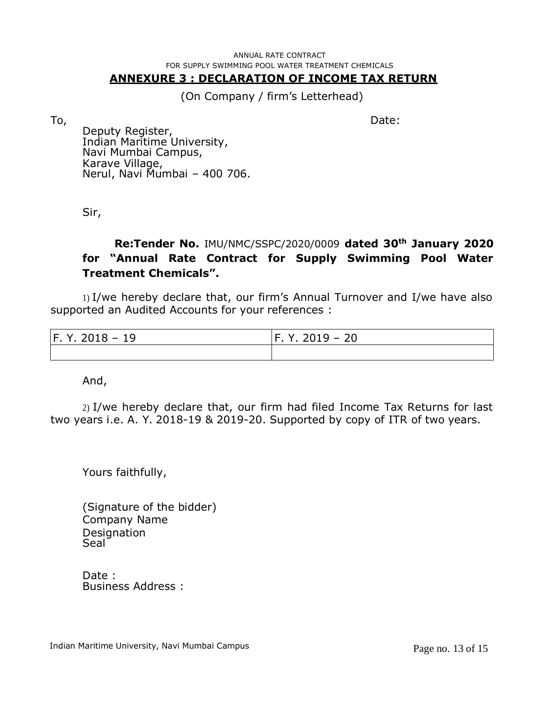## **ANNEXURE 3 : DECLARATION OF INCOME TAX RETURN**

(On Company / firm's Letterhead)

To, Date:

Deputy Register, Indian Maritime University, Navi Mumbai Campus, Karave Village, Nerul, Navi Mumbai – 400 706.

Sir,

# **Re:Tender No.** IMU/NMC/SSPC/2020/0009 **dated 30th January 2020 for "Annual Rate Contract for Supply Swimming Pool Water Treatment Chemicals".**

1) I/we hereby declare that, our firm's Annual Turnover and I/we have also supported an Audited Accounts for your references :

| $ F. Y. 2018 - 19 $ | $ F. Y. 2019 - 20 $ |  |  |
|---------------------|---------------------|--|--|
|                     |                     |  |  |

And,

2) I/we hereby declare that, our firm had filed Income Tax Returns for last two years i.e. A. Y. 2018-19 & 2019-20. Supported by copy of ITR of two years.

Yours faithfully,

(Signature of the bidder) Company Name **Designation** Seal<sup>-</sup>

Date : Business Address :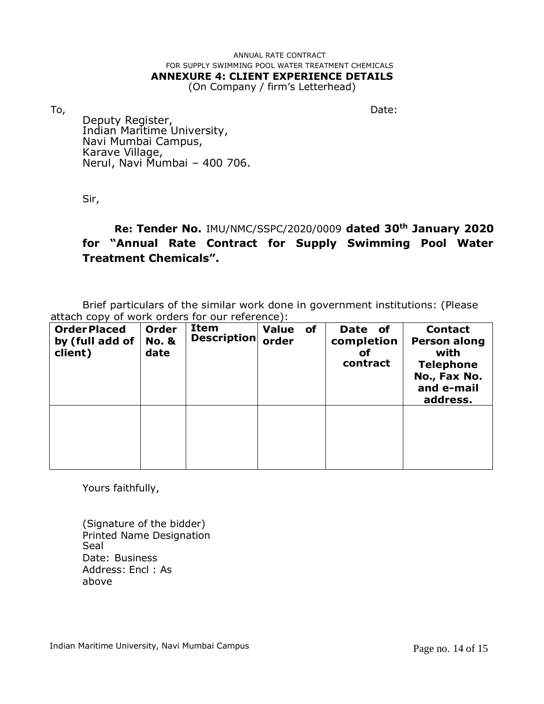# ANNUAL RATE CONTRACT FOR SUPPLY SWIMMING POOL WATER TREATMENT CHEMICALS **ANNEXURE 4: CLIENT EXPERIENCE DETAILS**

(On Company / firm's Letterhead)

To, the contract of the contract of the contract of the contract of the contract of the Date: Deputy Register, Indian Maritime University, Navi Mumbai Campus, Karave Village, Nerul, Navi Mumbai – 400 706.

Sir,

# **Re: Tender No.** IMU/NMC/SSPC/2020/0009 **dated 30th January 2020 for "Annual Rate Contract for Supply Swimming Pool Water Treatment Chemicals".**

Brief particulars of the similar work done in government institutions: (Please attach copy of work orders for our reference):

| <b>OrderPlaced</b><br>by (full add of<br>client) | <b>Order</b><br><b>No. &amp;</b><br>date | Item<br>Description | <b>Value</b><br>order | of | <b>Date</b><br><b>of</b><br>completion<br>οf<br>contract | <b>Contact</b><br><b>Person along</b><br>with<br><b>Telephone</b><br>No., Fax No.<br>and e-mail<br>address. |
|--------------------------------------------------|------------------------------------------|---------------------|-----------------------|----|----------------------------------------------------------|-------------------------------------------------------------------------------------------------------------|
|                                                  |                                          |                     |                       |    |                                                          |                                                                                                             |

Yours faithfully,

(Signature of the bidder) Printed Name Designation Seal Date: Business Address: Encl : As above